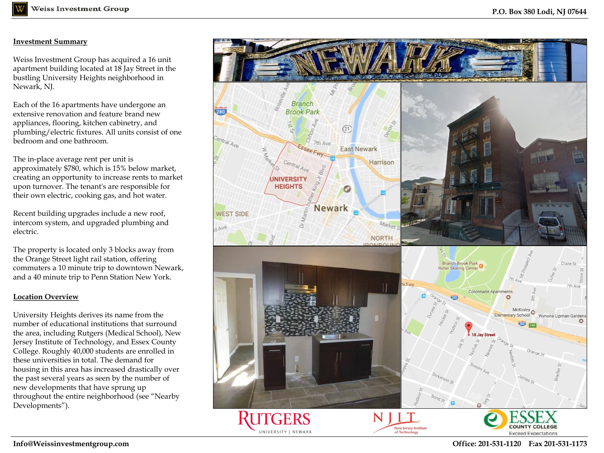**-531 -1120 F:ax 201 -531 -1173**

## **Investment Summary**

Weiss Investment Group ha s acquired a 16 unit apartment building located at 18 Jay Street in the bustling University Heights neighborhood in Newark, NJ.

Each of the 16 apartments have undergone an extensive renovation and feature brand new appliances, flooring, kitchen cabinetry, and plumbing/electric fixtures. All units consist of one bedroom and one bathroom.

The in -place average rent per unit is approximately \$780, which is 15% below market, creating an opportunity to increase rents to market upon turnover. The tenant's are responsible for their own electric, cooking gas, and hot water.

Recent building upgrades include a new roof, intercom system, and upgraded plumbing and electric.

The property is located only 3 blocks away from the Orange Street light rail station, offering commuters a 10 minute trip to downtown Newark, and a 40 minute trip to Penn Station New York.

### **Location Overview**

University Heights derives its name from the number of educational institutions that surround the area, including Rutgers (Medical School), New Jersey Institute of Technology, and Essex County College. Roughly 40,000 students are enrolled in these universities in total. The demand for housing in this area has increased drastically over the past several years as seen by the number of new developments that have sprung up throughout the entire neighborhood (see "Nearby Developments").





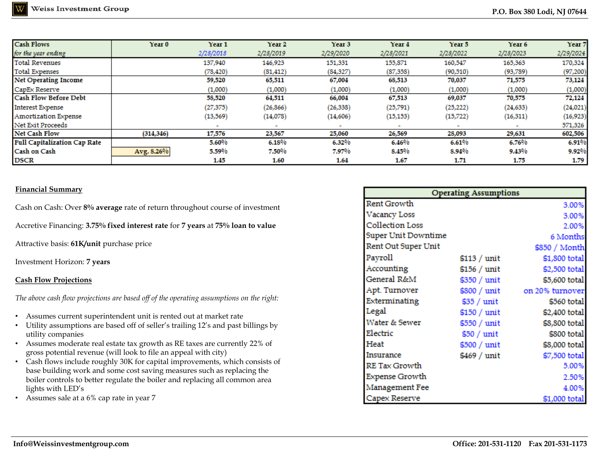| Cash Flows                          | Year 0     | Year 1       | Year 2          | Year 3       | Year 4       | Year 5     | Year 6    | Year 7    |
|-------------------------------------|------------|--------------|-----------------|--------------|--------------|------------|-----------|-----------|
| for the year ending                 |            | 2/28/2018    | 2/28/2019       | 2/29/2020    | 2/28/2021    | 2/28/2022  | 2/28/2023 | 2/29/2024 |
| <b>Total Revenues</b>               |            | 137,940      | 146,923         | 151,331      | 155,871      | 160,547    | 165,363   | 170,324   |
| <b>Total Expenses</b>               |            | (78, 420)    | (81, 412)       | (84, 327)    | (87, 358)    | (90, 510)  | (93,789)  | (97, 200) |
| Net Operating Income                |            | 59,520       | 65,511          | 67,004       | 68,513       | 70,037     | 71,575    | 73,124    |
| CapEx Reserve                       |            | (1,000)      | (1,000)         | (1,000)      | (1,000)      | (1,000)    | (1,000)   | (1,000)   |
| <b>Cash Flow Before Debt</b>        |            | 58,520       | 64,511          | 66,004       | 67,513       | 69,037     | 70,575    | 72,124    |
| <b>Interest Expense</b>             |            | (27, 375)    | (26, 866)       | (26, 338)    | (25,791)     | (25, 222)  | (24, 633) | (24, 021) |
| Amortization Expense                |            | (13, 569)    | (14,078)        | (14,606)     | (15, 153)    | (15,722)   | (16, 311) | (16, 923) |
| Net Exit Proceeds                   |            | <b>COLOR</b> | <b>Contract</b> | <b>COLOR</b> | <b>COLOR</b> | <b>COL</b> |           | 571,326   |
| Net Cash Flow                       | (314, 346) | 17,576       | 23,567          | 25,060       | 26,569       | 28,093     | 29,631    | 602,506   |
| <b>Full Capitalization Cap Rate</b> |            | 5.60%        | 6.18%           | 6.32%        | 6.46%        | 6.61%      | 6.76%     | 6.91%     |
| Cash on Cash                        | Avg. 8.26% | 5.59%        | 7.50%           | 7.97%        | 8.45%        | 8.94%      | 9.43%     | 9.92%     |
| <b>DSCR</b>                         |            | 1.45         | 1.60            | 1.64         | 1.67         | 1.71       | 1.75      | 1.79      |

### **Financial Summary**

Cash on Cash: Over **8% average** rate of return throughout course of investment

Accretive Financing: **3.75% fixed interest rate** for **7 years** at **75% loan to value**

Attractive basis: **61K/unit** purchase price

Investment Horizon: **7 years**

### **Cash Flow Projections**

*The above cash flow projections are based off of the operating assumptions on the right:*

- Assumes current superintendent unit is rented out at market rate
- Utility assumptions are based off of seller's trailing 12's and past billings by utility companies
- Assumes moderate real estate tax growth as RE taxes are currently 22% of gross potential revenue (will look to file an appeal with city)
- Cash flows include roughly 30K for capital improvements, which consists of base building work and some cost saving measures such as replacing the boiler controls to better regulate the boiler and replacing all common area lights with LED's
- Assumes sale at a 6% cap rate in year 7

**Rent Growth** Vacancy Loss **Collection Loss** Super Unit Dow Rent Out Super I Payroll Accounting General R&M Apt. Turnover Exterminating Legal Water & Sewer Electric Heat Insurance **RE Tax Growth Expense Growth** Management Fe Capex Reserve

|       | <b>Operating Assumptions</b> |                 |
|-------|------------------------------|-----------------|
|       |                              | 3.00%           |
|       |                              | 3.00%           |
|       |                              | 2.00%           |
| ntime |                              | 6 Months        |
| Unit  |                              | \$850 / Month   |
|       | \$113 / unit                 | \$1,800 total   |
|       | $$156 /$ unit                | \$2,500 total   |
|       | \$350 / unit                 | \$5,600 total   |
|       | \$800 / unit                 | on 20% turnover |
|       | $$35 /$ unit                 | \$560 total     |
|       | \$150 / unit                 | \$2,400 total   |
|       | \$550 / unit                 | \$8,800 total   |
|       | \$50 / unit                  | \$800 total     |
|       | \$500 / unit                 | \$8,000 total   |
|       | \$469 / unit                 | \$7,500 total   |
|       |                              | 5.00%           |
|       |                              | 2.50%           |
| ē     |                              | 4.00%           |
|       |                              | \$1,000 total   |